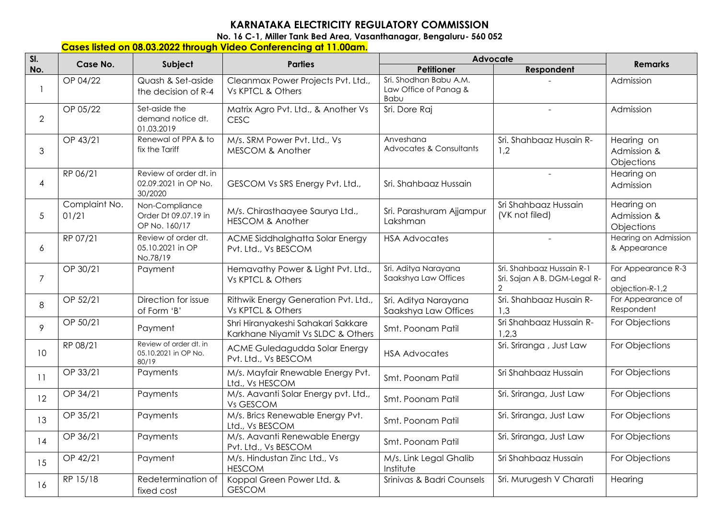## **KARNATAKA ELECTRICITY REGULATORY COMMISSION**

**No. 16 C-1, Miller Tank Bed Area, Vasanthanagar, Bengaluru- 560 052** 

## **Cases listed on 08.03.2022 through Video Conferencing at 11.00am.**

| SI.             | Case No.               |                                                           | Advocate<br><b>Parties</b>                                              |                                                         |                                                                             | <b>Remarks</b>                               |
|-----------------|------------------------|-----------------------------------------------------------|-------------------------------------------------------------------------|---------------------------------------------------------|-----------------------------------------------------------------------------|----------------------------------------------|
| No.             |                        | Subject                                                   |                                                                         | <b>Petitioner</b>                                       | Respondent                                                                  |                                              |
|                 | OP 04/22               | Quash & Set-aside<br>the decision of R-4                  | Cleanmax Power Projects Pvt. Ltd.,<br>Vs KPTCL & Others                 | Sri. Shodhan Babu A.M.<br>Law Office of Panag &<br>Babu |                                                                             | Admission                                    |
| $\overline{2}$  | OP 05/22               | Set-aside the<br>demand notice dt.<br>01.03.2019          | Matrix Agro Pvt. Ltd., & Another Vs<br><b>CESC</b>                      | Sri. Dore Raj                                           | $\overline{a}$                                                              | Admission                                    |
| 3               | OP 43/21               | Renewal of PPA & to<br>fix the Tariff                     | M/s. SRM Power Pvt. Ltd., Vs<br>MESCOM & Another                        | Anveshana<br><b>Advocates &amp; Consultants</b>         | Sri. Shahbaaz Husain R-<br>1,2                                              | Hearing on<br>Admission &<br>Objections      |
| $\overline{4}$  | RP 06/21               | Review of order dt. in<br>02.09.2021 in OP No.<br>30/2020 | GESCOM Vs SRS Energy Pvt. Ltd.,                                         | Sri. Shahbaaz Hussain                                   | $\overline{a}$                                                              | Hearing on<br>Admission                      |
| 5               | Complaint No.<br>01/21 | Non-Compliance<br>Order Dt 09.07.19 in<br>OP No. 160/17   | M/s. Chirasthaayee Saurya Ltd.,<br><b>HESCOM &amp; Another</b>          | Sri. Parashuram Ajjampur<br>Lakshman                    | Sri Shahbaaz Hussain<br>(VK not filed)                                      | Hearing on<br>Admission &<br>Objections      |
| 6               | RP 07/21               | Review of order dt.<br>05.10.2021 in OP<br>No.78/19       | ACME Siddhalghatta Solar Energy<br>Pvt. Ltd., Vs BESCOM                 | <b>HSA Advocates</b>                                    |                                                                             | Hearing on Admission<br>& Appearance         |
| $\overline{7}$  | OP 30/21               | Payment                                                   | Hemavathy Power & Light Pvt. Ltd.,<br>Vs KPTCL & Others                 | Sri. Aditya Narayana<br>Saakshya Law Offices            | Sri. Shahbaaz Hussain R-1<br>Sri. Sajan A B. DGM-Legal R-<br>$\overline{2}$ | For Appearance R-3<br>and<br>objection-R-1,2 |
| 8               | OP 52/21               | Direction for issue<br>of Form 'B'                        | Rithwik Energy Generation Pvt. Ltd.,<br>Vs KPTCL & Others               | Sri. Aditya Narayana<br>Saakshya Law Offices            | Sri. Shahbaaz Husain R-<br>1.3                                              | For Appearance of<br>Respondent              |
| 9               | OP 50/21               | Payment                                                   | Shri Hiranyakeshi Sahakari Sakkare<br>Karkhane Niyamit Vs SLDC & Others | Smt. Poonam Patil                                       | Sri Shahbaaz Hussain R-<br>1,2,3                                            | For Objections                               |
| 10 <sup>°</sup> | RP 08/21               | Review of order dt. in<br>05.10.2021 in OP No.<br>80/19   | ACME Guledagudda Solar Energy<br>Pvt. Ltd., Vs BESCOM                   | <b>HSA Advocates</b>                                    | Sri. Sriranga, Just Law                                                     | For Objections                               |
| 11              | OP 33/21               | Payments                                                  | M/s. Mayfair Rnewable Energy Pvt.<br>Ltd., Vs HESCOM                    | Smt. Poonam Patil                                       | Sri Shahbaaz Hussain                                                        | For Objections                               |
| 12              | OP 34/21               | Payments                                                  | M/s. Aavanti Solar Energy pvt. Ltd.,<br>Vs GESCOM                       | Smt. Poonam Patil                                       | Sri. Sriranga, Just Law                                                     | For Objections                               |
| 13              | OP 35/21               | Payments                                                  | M/s. Brics Renewable Energy Pvt.<br>Ltd., Vs BESCOM                     | Smt. Poonam Patil                                       | Sri. Sriranga, Just Law                                                     | For Objections                               |
| 14              | OP 36/21               | Payments                                                  | M/s. Aavanti Renewable Energy<br>Pvt. Ltd., Vs BESCOM                   | Smt. Poonam Patil                                       | Sri. Sriranga, Just Law                                                     | For Objections                               |
| 15              | OP 42/21               | Payment                                                   | M/s. Hindustan Zinc Ltd., Vs<br><b>HESCOM</b>                           | M/s. Link Legal Ghalib<br>Institute                     | Sri Shahbaaz Hussain                                                        | For Objections                               |
| 16              | RP 15/18               | Redetermination of<br>fixed cost                          | Koppal Green Power Ltd. &<br><b>GESCOM</b>                              | Srinivas & Badri Counsels                               | Sri. Murugesh V Charati                                                     | Hearing                                      |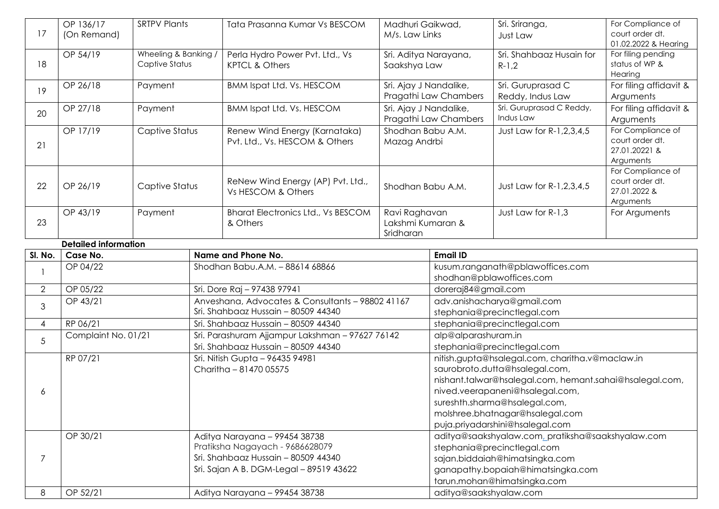| 17             | OP 136/17<br>(On Remand)    | <b>SRTPV Plants</b>                    |                               | Tata Prasanna Kumar Vs BESCOM                                                                         | Madhuri Gaikwad,<br>M/s. Law Links              |                                                                                           | Sri. Sriranga,<br>Just Law            | For Compliance of<br>court order dt.<br>01.02.2022 & Hearing       |
|----------------|-----------------------------|----------------------------------------|-------------------------------|-------------------------------------------------------------------------------------------------------|-------------------------------------------------|-------------------------------------------------------------------------------------------|---------------------------------------|--------------------------------------------------------------------|
| 18             | OP 54/19                    | Wheeling & Banking /<br>Captive Status |                               | Perla Hydro Power Pvt. Ltd., Vs<br>Sri. Aditya Narayana,<br><b>KPTCL &amp; Others</b><br>Saakshya Law |                                                 |                                                                                           | Sri. Shahbaaz Husain for<br>$R-1,2$   | For filing pending<br>status of WP &<br>Hearing                    |
| 19             | OP 26/18                    | Payment                                |                               | <b>BMM Ispat Ltd. Vs. HESCOM</b>                                                                      | Sri. Ajay J Nandalike,<br>Pragathi Law Chambers |                                                                                           | Sri. Guruprasad C<br>Reddy, Indus Law | For filing affidavit &<br>Arguments                                |
| 20             | OP 27/18                    | Payment                                |                               | <b>BMM Ispat Ltd. Vs. HESCOM</b>                                                                      | Sri. Ajay J Nandalike,<br>Pragathi Law Chambers |                                                                                           | Sri. Guruprasad C Reddy,<br>Indus Law | For filing affidavit &<br>Arguments                                |
| 21             | OP 17/19                    | Captive Status                         |                               | Renew Wind Energy (Karnataka)<br>Pvt. Ltd., Vs. HESCOM & Others                                       | Shodhan Babu A.M.<br>Mazag Andrbi               |                                                                                           | Just Law for R-1, 2, 3, 4, 5          | For Compliance of<br>court order dt.<br>27.01.20221 &<br>Arguments |
| 22             | OP 26/19                    | Captive Status                         |                               | ReNew Wind Energy (AP) Pvt. Ltd.,<br>Vs HESCOM & Others                                               | Shodhan Babu A.M.                               |                                                                                           | Just Law for R-1, 2, 3, 4, 5          | For Compliance of<br>court order dt.<br>27.01.2022 &<br>Arguments  |
| 23             | OP 43/19                    | Payment                                |                               | <b>Bharat Electronics Ltd., Vs BESCOM</b><br>& Others                                                 | Ravi Raghavan<br>Lakshmi Kumaran &<br>Sridharan |                                                                                           | Just Law for R-1,3                    | For Arguments                                                      |
|                | <b>Detailed information</b> |                                        |                               |                                                                                                       |                                                 |                                                                                           |                                       |                                                                    |
| SI. No.        | Case No.                    |                                        |                               | Name and Phone No.                                                                                    |                                                 | <b>Email ID</b>                                                                           |                                       |                                                                    |
|                | OP 04/22                    |                                        |                               | Shodhan Babu.A.M. - 88614 68866                                                                       |                                                 | kusum.ranganath@pblawoffices.com<br>shodhan@pblawoffices.com                              |                                       |                                                                    |
| $\overline{2}$ | OP 05/22                    |                                        |                               | Sri. Dore Raj - 97438 97941                                                                           |                                                 | doreraj84@gmail.com                                                                       |                                       |                                                                    |
| 3              | OP 43/21                    |                                        |                               | Anveshana, Advocates & Consultants - 98802 41167                                                      |                                                 | adv.anishacharya@gmail.com                                                                |                                       |                                                                    |
|                |                             |                                        |                               | Sri. Shahbaaz Hussain - 80509 44340                                                                   |                                                 | stephania@precinctlegal.com                                                               |                                       |                                                                    |
| $\overline{4}$ | RP 06/21                    |                                        |                               | Sri. Shahbaaz Hussain - 80509 44340                                                                   |                                                 | stephania@precinctlegal.com                                                               |                                       |                                                                    |
| 5              | Complaint No. 01/21         |                                        |                               | Sri. Parashuram Ajjampur Lakshman - 97627 76142                                                       |                                                 | alp@alparashuram.in                                                                       |                                       |                                                                    |
|                |                             |                                        |                               | Sri. Shahbaaz Hussain - 80509 44340                                                                   | stephania@precinctlegal.com                     |                                                                                           |                                       |                                                                    |
|                | RP 07/21                    |                                        |                               | Sri. Nitish Gupta - 96435 94981                                                                       |                                                 | nitish.gupta@hsalegal.com, charitha.v@maclaw.in                                           |                                       |                                                                    |
|                |                             |                                        |                               | Charitha - 81470 05575                                                                                |                                                 | saurobroto.dutta@hsalegal.com,<br>nishant.talwar@hsalegal.com, hemant.sahai@hsalegal.com, |                                       |                                                                    |
|                |                             |                                        |                               |                                                                                                       |                                                 |                                                                                           | nived.veerapaneni@hsalegal.com,       |                                                                    |
| 6              |                             |                                        |                               |                                                                                                       |                                                 |                                                                                           | sureshth.sharma@hsalegal.com,         |                                                                    |
|                |                             |                                        |                               |                                                                                                       |                                                 |                                                                                           | molshree.bhatnagar@hsalegal.com       |                                                                    |
|                |                             |                                        |                               |                                                                                                       |                                                 |                                                                                           | puja.priyadarshini@hsalegal.com       |                                                                    |
|                | OP 30/21                    |                                        | Aditya Narayana - 99454 38738 |                                                                                                       |                                                 | aditya@saakshyalaw.com, pratiksha@saakshyalaw.com                                         |                                       |                                                                    |
|                |                             |                                        |                               | Pratiksha Nagayach - 9686628079                                                                       |                                                 | stephania@precinctlegal.com                                                               |                                       |                                                                    |
| 7              |                             |                                        |                               | Sri. Shahbaaz Hussain - 80509 44340                                                                   |                                                 | sajan.biddaiah@himatsingka.com                                                            |                                       |                                                                    |
|                |                             |                                        |                               | Sri. Sajan A B. DGM-Legal - 89519 43622                                                               |                                                 |                                                                                           | ganapathy.bopaiah@himatsingka.com     |                                                                    |
|                |                             |                                        |                               |                                                                                                       |                                                 | tarun.mohan@himatsingka.com                                                               |                                       |                                                                    |
| 8              | OP 52/21                    |                                        |                               | Aditya Narayana - 99454 38738                                                                         |                                                 | aditya@saakshyalaw.com                                                                    |                                       |                                                                    |